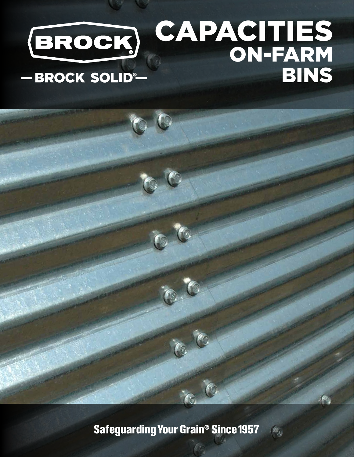### CAPACITIES ON-FARM - BROCK SOLID® BINS

 $\in \mathbb{Q}$ 

**6 6** 

 $\mathcal{P}$ 

 $\left[ \theta_{i}\right]$ 

**Safeguarding Your Grain<sup>®</sup> Since 1957**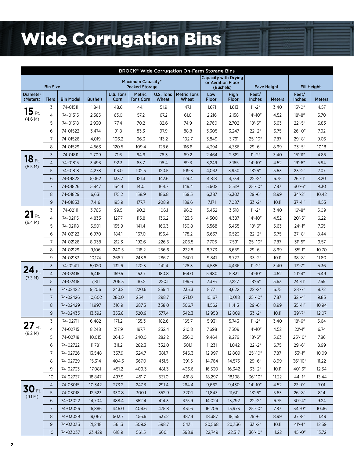# Wide Corrugation Bins

| BROCK® Wide Corrugation On-Farm Storage Bins |                 |                  |                |                   |                                            |                    |                                    |              |                                           |                        |                    |                        |                    |
|----------------------------------------------|-----------------|------------------|----------------|-------------------|--------------------------------------------|--------------------|------------------------------------|--------------|-------------------------------------------|------------------------|--------------------|------------------------|--------------------|
|                                              | <b>Bin Size</b> |                  |                |                   | Maximum Capacity*<br><b>Peaked Storage</b> |                    |                                    | (Bushels)    | Capacity with Drying<br>or Aeration Floor |                        | <b>Eave Height</b> |                        | <b>Fill Height</b> |
| <b>Diameter</b><br>(Meters)                  | <b>Tiers</b>    | <b>Bin Model</b> | <b>Bushels</b> | U.S. Tons<br>Corn | <b>Metric</b><br><b>Tons Corn</b>          | U.S. Tons<br>Wheat | <b>Metric Tons</b><br><b>Wheat</b> | Low<br>Floor | High<br>Floor                             | Feet/<br><b>Inches</b> | <b>Meters</b>      | Feet/<br><b>Inches</b> | <b>Meters</b>      |
|                                              | 3               | 74-01511         | 1,841          | 48.6              | 44.1                                       | 51.9               | 47.1                               | 1,671        | 1,613                                     | $11' - 2''$            | 3.40               | $15' - 0''$            | 4.57               |
| 15 ft.                                       | 4               | 74-01515         | 2,385          | 63.0              | 57.2                                       | 67.2               | 61.0                               | 2,216        | 2,158                                     | 14'-10"                | 4.52               | $18' - 8''$            | 5.70               |
| (4.6 M)                                      | 5               | 74-01518         | 2,930          | 77.4              | 70.2                                       | 82.6               | 74.9                               | 2,760        | 2,702                                     | $18' - 6''$            | 5.63               | $22 - 5$ "             | 6.83               |
|                                              | 6               | 74-01522         | 3,474          | 91.8              | 83.3                                       | 97.9               | 88.8                               | 3,305        | 3,247                                     | $22 - 2$ "             | 6.75               | $26' - 0''$            | 7.92               |
|                                              | 7               | 74-01526         | 4,019          | 106.2             | 96.3                                       | 113.2              | 102.7                              | 3,849        | 3,791                                     | 25'-10"                | 7.87               | 29'-8"                 | 9.05               |
|                                              | 8               | 74-01529         | 4,563          | 120.5             | 109.4                                      | 128.6              | 116.6                              | 4,394        | 4,336                                     | $29' - 6''$            | 8.99               | 33'-5"                 | 10.18              |
|                                              | $\overline{3}$  | 74-01811         | 2,709          | 71.6              | 64.9                                       | 76.3               | 69.2                               | 2,464        | 2,381                                     | $11' - 2''$            | 3.40               | $15' - 11''$           | 4.85               |
| 18 Ft.                                       | $\overline{4}$  | 74-01815         | 3,493          | 92.3              | 83.7                                       | 98.4               | 89.3                               | 3,249        | 3,165                                     | $14' - 10''$           | 4.52               | $19' - 6''$            | 5.94               |
| (5.5 M)                                      | 5               | 74-01818         | 4,278          | 113.0             | 102.5                                      | 120.5              | 109.3                              | 4,033        | 3,950                                     | $18' - 6''$            | 5.63               | $23 - 2"$              | 7.07               |
|                                              | 6               | 74-01822         | 5,062          | 133.7             | 121.3                                      | 142.6              | 129.4                              | 4,818        | 4,734                                     | $22 - 2$ "             | 6.75               | 26'-11"                | 8.20               |
|                                              | $\overline{7}$  | 74-01826         | 5,847          | 154.4             | 140.1                                      | 164.7              | 149.4                              | 5,602        | 5,519                                     | 25'-10"                | 7.87               | $30' - 6''$            | 9.30               |
|                                              | 8               | 74-01829         | 6,631          | 175.2             | 158.9                                      | 186.8              | 169.5                              | 6,387        | 6,303                                     | $29' - 6''$            | 8.99               | $34 - 2"$              | 10.42              |
|                                              | 9               | 74-01833         | 7,416          | 195.9             | 177.7                                      | 208.9              | 189.6                              | 7,171        | 7,087                                     | $33'-2''$              | 10.11              | $37' - 11''$           | 11.55              |
| $21$ Ft.                                     | 3               | 74-02111         | 3,765          | 99.5              | 90.2                                       | 106.1              | 96.2                               | 3,432        | 3,318                                     | $11' - 2''$            | 3.40               | $16' - 8''$            | 5.09               |
| (6.4 M)                                      | $\overline{4}$  | 74-02115         | 4,833          | 127.7             | 115.8                                      | 136.2              | 123.5                              | 4,500        | 4,387                                     | 14'-10"                | 4.52               | $20' - 5''$            | 6.22               |
|                                              | 5               | 74-02118         | 5,901          | 155.9             | 141.4                                      | 166.3              | 150.8                              | 5,568        | 5,455                                     | $18' - 6''$            | 5.63               | $24' - 1''$            | 7.35               |
|                                              | 6               | 74-02122         | 6,970          | 184.1             | 167.0                                      | 196.4              | 178.2                              | 6,637        | 6,523                                     | $22 - 2"$              | 6.75               | $27 - 8$ "             | 8.44               |
|                                              | $\overline{7}$  | 74-02126         | 8,038          | 212.3             | 192.6                                      | 226.5              | 205.5                              | 7,705        | 7,591                                     | 25'-10"                | 7.87               | $31' - 5''$            | 9.57               |
|                                              | 8               | 74-02129         | 9,106          | 240.5             | 218.2                                      | 256.6              | 232.8                              | 8,773        | 8,659                                     | $29' - 6''$            | 8.99               | $35' - 1''$            | 10.70              |
|                                              | 9               | 74-02133         | 10,174         | 268.7             | 243.8                                      | 286.7              | 260.1                              | 9,841        | 9,727                                     | $33'-2''$              | 10.11              | 38'-8"                 | 11.80              |
| 24 Ft.                                       | 3               | 74-02411         | 5,020          | 132.6             | 120.3                                      | 141.4              | 128.3                              | 4,585        | 4,436                                     | $11' - 2''$            | 3.40               | $17' - 7''$            | 5.36               |
| (7.3 M)                                      | $\overline{4}$  | 74-02415         | 6,415          | 169.5             | 153.7                                      | 180.8              | 164.0                              | 5,980        | 5,831                                     | 14'-10"                | 4.52               | $21' - 4''$            | 6.49               |
|                                              | 5               | 74-02418         | 7,811          | 206.3             | 187.2                                      | 220.1              | 199.6                              | 7,376        | 7,227                                     | $18' - 6''$            | 5.63               | 24'-11"                | 7.59               |
|                                              | $6\phantom{1}$  | 74-02422         | 9,206          | 243.2             | 220.6                                      | 259.4              | 235.3                              | 8,771        | 8,622                                     | $22'-2''$              | 6.75               | $28' - 7''$            | 8.72               |
|                                              | $\overline{7}$  | 74-02426         | 10,602         | 280.0             | 254.1                                      | 298.7              | 271.0                              | 10,167       | 10,018                                    | 25'-10"                | 7.87               | $32 - 4"$              | 9.85               |
|                                              | 8               | 74-02429         | 11,997         | 316.9             | 287.5                                      | 338.0              | 306.7                              | 11,562       | 11,413                                    | $29' - 6''$            | 8.99               | $35' - 11''$           | 10.94              |
|                                              | 9               | 74-02433         | 13,392         | 353.8             | 320.9                                      | 377.4              | 342.3                              | 12,958       | 12,809                                    | $33'-2''$              | 10.11              | $39' - 7''$            | 12.07              |
| $27$ Ft.                                     | 3               | 74-02711         | 6,482          | 171.2             | 155.3                                      | 182.6              | 165.7                              | 5,931        | 5,743                                     | $11' - 2''$            | 3.40               | $18' - 6''$            | 5.64               |
| (8.2 M)                                      | 4               | 74-02715         | 8,248          | 217.9             | 197.7                                      | 232.4              | 210.8                              | 7,698        | 7,509                                     | $14' - 10''$           | 4.52               | $22'-1''$              | 6.74               |
|                                              | 5               | 74-02718         | 10,015         | 264.5             | 240.0                                      | 282.2              | 256.0                              | 9,464        | 9,276                                     | $18' - 6''$            | 5.63               | 25'-10"                | 7.86               |
|                                              | 6               | 74-02722         | 11,781         | 311.2             | 282.3                                      | 332.0              | 301.1                              | 11,231       | 11,042                                    | $22 - 2"$              | 6.75               | $29' - 6''$            | 8.99               |
|                                              | 7               | 74-02726         | 13,548         | 357.9             | 324.7                                      | 381.7              | 346.3                              | 12,997       | 12,809                                    | 25'-10"                | 7.87               | $33' - 1''$            | 10.09              |
|                                              | 8               | 74-02729         | 15,314         | 404.5             | 367.0                                      | 431.5              | 391.5                              | 14,764       | 14,575                                    | $29' - 6''$            | 8.99               | 36'-10"                | 11.22              |
|                                              | 9               | 74-02733         | 17,081         | 451.2             | 409.3                                      | 481.3              | 436.6                              | 16,530       | 16,342                                    | $33'-2''$              | 10.11              | $40' - 6''$            | 12.34              |
|                                              | 10              | 74-02737         | 18,847         | 497.9             | 451.7                                      | 531.0              | 481.8                              | 18,297       | 18,108                                    | 36'-10"                | 11.22              | 44'-1"                 | 13.44              |
| 30 Ft.                                       | $\overline{4}$  | 74-03015         | 10,342         | 273.2             | 247.8                                      | 291.4              | 264.4                              | 9,662        | 9,430                                     | $14' - 10''$           | 4.52               | $23'-0''$              | 7.01               |
| (9.1 M)                                      | $\mathsf S$     | 74-03018         | 12,523         | 330.8             | 300.1                                      | 352.9              | 320.1                              | 11,843       | 11,611                                    | $18' - 6''$            | 5.63               | $26' - 8''$            | 8.14               |
|                                              | $6\,$           | 74-03022         | 14,704         | 388.4             | 352.4                                      | 414.3              | 375.9                              | 14,024       | 13,792                                    | $22 - 2$ "             | 6.75               | $30' - 4''$            | 9.24               |
|                                              | 7               | 74-03026         | 16,886         | 446.0             | 404.6                                      | 475.8              | 431.6                              | 16,206       | 15,973                                    | 25'-10"                | 7.87               | 34'-0"                 | 10.36              |
|                                              | 8               | 74-03029         | 19,067         | 503.7             | 456.9                                      | 537.2              | 487.4                              | 18,387       | 18,155                                    | $29' - 6''$            | 8.99               | $37' - 8''$            | 11.49              |
|                                              | 9               | 74-03033         | 21,248         | 561.3             | 509.2                                      | 598.7              | 543.1                              | 20,568       | 20,336                                    | $33'-2''$              | 10.11              | $41' - 4''$            | 12.59              |
|                                              | 10              | 74-03037         | 23,429         | 618.9             | 561.5                                      | 660.1              | 598.9                              | 22,749       | 22,517                                    | 36'-10"                | 11.22              | $45' - 0''$            | 13.72              |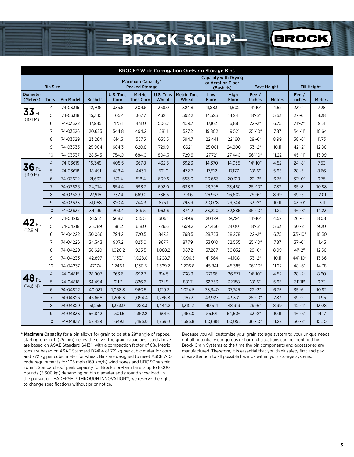## **BROCK SOLID® BROCI**

|                             |                |                  | BROCK® Wide Corrugation On-Farm Storage Bins |                   |                                            |                    |                             |                                |                             |                 |                    |                        |                    |
|-----------------------------|----------------|------------------|----------------------------------------------|-------------------|--------------------------------------------|--------------------|-----------------------------|--------------------------------|-----------------------------|-----------------|--------------------|------------------------|--------------------|
| <b>Bin Size</b>             |                |                  |                                              |                   | Maximum Capacity*<br><b>Peaked Storage</b> |                    |                             | or Aeration Floor<br>(Bushels) | <b>Capacity with Drying</b> |                 | <b>Eave Height</b> |                        | <b>Fill Height</b> |
| <b>Diameter</b><br>(Meters) | <b>Tiers</b>   | <b>Bin Model</b> | <b>Bushels</b>                               | U.S. Tons<br>Corn | <b>Metric</b><br><b>Tons Corn</b>          | U.S. Tons<br>Wheat | <b>Metric Tons</b><br>Wheat | Low<br>Floor                   | High<br>Floor               | Feet/<br>Inches | <b>Meters</b>      | Feet/<br><b>Inches</b> | <b>Meters</b>      |
|                             | 4              | 74-03315         | 12,706                                       | 335.6             | 304.5                                      | 358.0              | 324.8                       | 11,883                         | 11,602                      | 14'-10"         | 4.52               | $23' - 11''$           | 7.28               |
| $\overline{{\bf 33}}$ Ft.   | 5              | 74-03318         | 15,345                                       | 405.4             | 367.7                                      | 432.4              | 392.2                       | 14,523                         | 14,241                      | $18' - 6''$     | 5.63               | $27' - 6''$            | 8.38               |
| (10.1 M)                    | 6              | 74-03322         | 17,985                                       | 475.1             | 431.0                                      | 506.7              | 459.7                       | 17,162                         | 16,881                      | $22 - 2$ "      | 6.75               | $31' - 2''$            | 9.51               |
|                             | $\overline{7}$ | 74-03326         | 20,625                                       | 544.8             | 494.2                                      | 581.1              | 527.2                       | 19,802                         | 19,521                      | 25'-10"         | 7.87               | 34'-11"                | 10.64              |
|                             | 8              | 74-03329         | 23,264                                       | 614.5             | 557.5                                      | 655.5              | 594.7                       | 22,441                         | 22,160                      | $29' - 6''$     | 8.99               | 38'-6"                 | 11.73              |
|                             | 9              | 74-03333         | 25,904                                       | 684.3             | 620.8                                      | 729.9              | 662.1                       | 25,081                         | 24,800                      | $33'-2''$       | 10.11              | $42 - 2$ "             | 12.86              |
|                             | 10             | 74-03337         | 28,543                                       | 754.0             | 684.0                                      | 804.3              | 729.6                       | 27,721                         | 27,440                      | 36'-10"         | 11.22              | 45'-11"                | 13.99              |
|                             | $\overline{4}$ | 74-03615         | 15,349                                       | 405.5             | 367.8                                      | 432.5              | 392.3                       | 14,370                         | 14,035                      | $14' - 10''$    | 4.52               | $24' - 8''$            | 7.53               |
| 36F<br>(11.0 M)             | 5              | 74-03618         | 18,491                                       | 488.4             | 443.1                                      | 521.0              | 472.7                       | 17,512                         | 17,177                      | $18' - 6''$     | 5.63               | $28 - 5$ "             | 8.66               |
|                             | 6              | 74-03622         | 21,633                                       | 571.4             | 518.4                                      | 609.5              | 553.0                       | 20,653                         | 20,319                      | $22 - 2$ "      | 6.75               | $32 - 0$ "             | 9.75               |
|                             | $\overline{7}$ | 74-03626         | 24,774                                       | 654.4             | 593.7                                      | 698.0              | 633.3                       | 23,795                         | 23,460                      | 25'-10"         | 7.87               | $35' - 8''$            | 10.88              |
|                             | 8              | 74-03629         | 27,916                                       | 737.4             | 669.0                                      | 786.6              | 713.6                       | 26,937                         | 26,602                      | $29' - 6''$     | 8.99               | $39' - 5''$            | 12.01              |
|                             | 9              | 74-03633         | 31,058                                       | 820.4             | 744.3                                      | 875.1              | 793.9                       | 30,078                         | 29,744                      | $33'-2"$        | 10.11              | $43' - 0''$            | 13.11              |
|                             | 10             | 74-03637         | 34.199                                       | 903.4             | 819.5                                      | 963.6              | 874.2                       | 33,220                         | 32,885                      | 36'-10"         | 11.22              | 46'-8"                 | 14.23              |
|                             | 4              | 74-04215         | 21.512                                       | 568.3             | 515.5                                      | 606.1              | 549.9                       | 20.179                         | 19,724                      | 14'-10"         | 4.52               | $26' - 6''$            | 8.08               |
| 42 Ft.<br>(12.8 M)          | 5              | 74-04218         | 25,789                                       | 681.2             | 618.0                                      | 726.6              | 659.2                       | 24,456                         | 24,001                      | $18' - 6''$     | 5.63               | $30'-2"$               | 9.20               |
|                             | 6              | 74-04222         | 30,066                                       | 794.2             | 720.5                                      | 847.2              | 768.5                       | 28,733                         | 28,278                      | $22 - 2"$       | 6.75               | 33'-10"                | 10.30              |
|                             | $\overline{7}$ | 74-04226         | 34,343                                       | 907.2             | 823.0                                      | 967.7              | 877.9                       | 33,010                         | 32,555                      | 25'-10"         | 7.87               | $37' - 6''$            | 11.43              |
|                             | 8              | 74-04229         | 38,620                                       | 1,020.2           | 925.5                                      | 1,088.2            | 987.2                       | 37,287                         | 36,832                      | $29' - 6''$     | 8.99               | $41 - 2$ "             | 12.56              |
|                             | 9              | 74-04233         | 42,897                                       | 1,133.1           | 1,028.0                                    | 1,208.7            | 1,096.5                     | 41,564                         | 41,108                      | $33 - 2$ "      | 10.11              | 44'-10"                | 13.66              |
|                             | 10             | 74-04237         | 47,174                                       | 1,246.1           | 1,130.5                                    | 1,329.2            | 1,205.8                     | 45,841                         | 45,385                      | 36'-10"         | 11.22              | 48'-6"                 | 14.78              |
|                             | $\overline{4}$ | 74-04815         | 28,907                                       | 763.6             | 692.7                                      | 814.5              | 738.9                       | 27,166                         | 26,571                      | $14' - 10''$    | 4.52               | $28 - 2$ "             | 8.60               |
| 48 Ft.<br>(14.6 M)          | 5              | 74-04818         | 34,494                                       | 911.2             | 826.6                                      | 971.9              | 881.7                       | 32,753                         | 32,158                      | $18' - 6''$     | 5.63               | $31' - 11''$           | 9.72               |
|                             | 6              | 74-04822         | 40,081                                       | 1,058.8           | 960.5                                      | 1,129.3            | 1,024.5                     | 38,340                         | 37,745                      | $22 - 2"$       | 6.75               | $35'-6''$              | 10.82              |
|                             | $\overline{7}$ | 74-04826         | 45,668                                       | 1,206.3           | 1,094.4                                    | 1,286.8            | 1,167.3                     | 43,927                         | 43,332                      | 25'-10"         | 7.87               | $39' - 2"$             | 11.95              |
|                             | 8              | 74-04829         | 51,255                                       | 1,353.9           | 1,228.3                                    | 1,444.2            | 1,310.2                     | 49,514                         | 48,919                      | $29' - 6''$     | 8.99               | 42'-11"                | 13.08              |
|                             | 9              | 74-04833         | 56,842                                       | 1,501.5           | 1,362.2                                    | 1,601.6            | 1,453.0                     | 55,101                         | 54,506                      | $33'-2''$       | 10.11              | $46' - 6''$            | 14.17              |
|                             | 10             | 74-04837         | 62,429                                       | 1,649.1           | 1,496.0                                    | 1,759.0            | 1,595.8                     | 60,688                         | 60,093                      | 36'-10"         | 11.22              | $50' - 2"$             | 15.30              |

**\* Maximum Capacity** for a bin allows for grain to be at a 28° angle of repose, starting one inch (25 mm) below the eave. The grain capacities listed above are based on ASAE Standard S413.1, with a compaction factor of 6%. Metric tons are based on ASAE Standard D241.4 of 721 kg per cubic meter for corn and 772 kg per cubic meter for wheat. Bins are designed to meet ASCE 7-10 code requirements for 105 mph (169 km/h) wind zones and UBC 97 seismic zone 1. Standard roof peak capacity for Brock's on-farm bins is up to 8,000 pounds (3,600 kg) depending on bin diameter and ground snow load. In the pursuit of LEADERSHIP THROUGH INNOVATION®, we reserve the right to change specifications without prior notice.

Because you will customize your grain storage system to your unique needs, not all potentially dangerous or harmful situations can be identified by Brock Grain Systems at the time the bin components and accessories are manufactured. Therefore, it is essential that you think safety first and pay close attention to all possible hazards within your storage systems.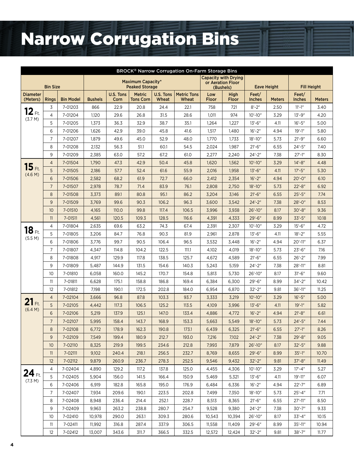# Narrow Corrugation Bins

|                      | BROCK® Narrow Corrugation On-Farm Storage Bins |                  |                |                   |                                            |                    |                             |              |                                                  |                        |                    |                        |                    |
|----------------------|------------------------------------------------|------------------|----------------|-------------------|--------------------------------------------|--------------------|-----------------------------|--------------|--------------------------------------------------|------------------------|--------------------|------------------------|--------------------|
|                      | <b>Bin Size</b>                                |                  |                |                   | Maximum Capacity*<br><b>Peaked Storage</b> |                    |                             | (Bushels)    | <b>Capacity with Drying</b><br>or Aeration Floor |                        | <b>Eave Height</b> |                        | <b>Fill Height</b> |
| Diameter<br>(Meters) | <b>Rings</b>                                   | <b>Bin Model</b> | <b>Bushels</b> | U.S. Tons<br>Corn | <b>Metric</b><br><b>Tons Corn</b>          | U.S. Tons<br>Wheat | <b>Metric Tons</b><br>Wheat | Low<br>Floor | High<br>Floor                                    | Feet/<br><b>Inches</b> | <b>Meters</b>      | Feet/<br><b>Inches</b> | <b>Meters</b>      |
|                      | 3                                              | 7-01203          | 866            | 22.9              | 20.8                                       | 24.4               | 22.1                        | 758          | 721                                              | $8 - 2"$               | 2.50               | $11' - 1''$            | 3.40               |
| $12$ Ft.             | $\overline{4}$                                 | 7-01204          | 1,120          | 29.6              | 26.8                                       | 31.5               | 28.6                        | 1,011        | 974                                              | $10' - 10''$           | 3.29               | $13' - 9''$            | 4.20               |
| (3.7 M)              | 5                                              | 7-01205          | 1,373          | 36.3              | 32.9                                       | 38.7               | 35.1                        | 1,264        | 1,227                                            | $13' - 6''$            | 4.11               | $16' - 5''$            | 5.00               |
|                      | 6                                              | 7-01206          | 1,626          | 42.9              | 39.0                                       | 45.8               | 41.6                        | 1,517        | 1,480                                            | $16' - 2''$            | 4.94               | $19' - 1''$            | 5.80               |
|                      | $\overline{7}$                                 | 7-01207          | 1,879          | 49.6              | 45.0                                       | 52.9               | 48.0                        | 1,770        | 1,733                                            | 18'-10"                | 5.73               | $21' - 9''$            | 6.60               |
|                      | 8                                              | 7-01208          | 2,132          | 56.3              | 51.1                                       | 60.1               | 54.5                        | 2,024        | 1,987                                            | $21' - 6''$            | 6.55               | $24' - 5''$            | 7.40               |
|                      | 9                                              | 7-01209          | 2,385          | 63.0              | 57.2                                       | 67.2               | 61.0                        | 2,277        | 2,240                                            | $24 - 2"$              | 7.38               | $27' - 1''$            | 8.30               |
|                      | $\overline{4}$                                 | 7-01504          | 1,790          | 47.3              | 42.9                                       | 50.4               | 45.8                        | 1,620        | 1,562                                            | $10' - 10''$           | 3.29               | $14' - 8''$            | 4.48               |
| 15 ft.               | 5                                              | 7-01505          | 2,186          | 57.7              | 52.4                                       | 61.6               | 55.9                        | 2,016        | 1,958                                            | $13'-6''$              | 4.11               | $17' - 5''$            | 5.30               |
| (4.6 M)              | 6                                              | 7-01506          | 2,582          | 68.2              | 61.9                                       | 72.7               | 66.0                        | 2,412        | 2,354                                            | $16' - 2''$            | 4.94               | $20' - 0''$            | 6.10               |
|                      | $\overline{7}$                                 | 7-01507          | 2,978          | 78.7              | 71.4                                       | 83.9               | 76.1                        | 2,808        | 2,750                                            | $18' - 10''$           | 5.73               | $22 - 8$ "             | 6.92               |
|                      | 8                                              | 7-01508          | 3,373          | 89.1              | 80.8                                       | 95.1               | 86.2                        | 3,204        | 3,146                                            | $21' - 6''$            | 6.55               | $25' - 5''$            | 7.74               |
|                      | 9                                              | 7-01509          | 3,769          | 99.6              | 90.3                                       | 106.2              | 96.3                        | 3,600        | 3,542                                            | $24 - 2"$              | 7.38               | $28' - 0''$            | 8.53               |
|                      | 10 <sup>°</sup>                                | 7-01510          | 4,165          | 110.0             | 99.8                                       | 117.4              | 106.5                       | 3,996        | 3,938                                            | 26'-10"                | 8.17               | $30' - 8''$            | 9.36               |
|                      | 11                                             | 7-01511          | 4,561          | 120.5             | 109.3                                      | 128.5              | 116.6                       | 4,391        | 4,333                                            | $29' - 6''$            | 8.99               | $33'-5''$              | 10.18              |
|                      | 4                                              | 7-01804          | 2,635          | 69.6              | 63.2                                       | 74.3               | 67.4                        | 2,391        | 2,307                                            | $10' - 10''$           | 3.29               | $15' - 6''$            | 4.72               |
| $18F_{\rm th}$       | 5                                              | 7-01805          | 3,206          | 84.7              | 76.8                                       | 90.3               | 81.9                        | 2,961        | 2,878                                            | $13' - 6''$            | 4.11               | $18' - 2''$            | 5.55               |
| (5.5 M)              | 6                                              | 7-01806          | 3,776          | 99.7              | 90.5                                       | 106.4              | 96.5                        | 3,532        | 3,448                                            | $16' - 2''$            | 4.94               | $20' - 11''$           | 6.37               |
|                      | $\overline{7}$                                 | 7-01807          | 4,347          | 114.8             | 104.2                                      | 122.5              | 111.1                       | 4,102        | 4,019                                            | 18'-10"                | 5.73               | $23'-6''$              | 7.16               |
|                      | 8                                              | 7-01808          | 4,917          | 129.9             | 117.8                                      | 138.5              | 125.7                       | 4,672        | 4,589                                            | $21' - 6''$            | 6.55               | $26' - 2"$             | 7.99               |
|                      | 9                                              | 7-01809          | 5,487          | 144.9             | 131.5                                      | 154.6              | 140.3                       | 5,243        | 5,159                                            | $24 - 2"$              | 7.38               | 28'-11"                | 8.81               |
|                      | 10 <sup>°</sup>                                | 7-01810          | 6,058          | 160.0             | 145.2                                      | 170.7              | 154.8                       | 5,813        | 5,730                                            | 26'-10"                | 8.17               | $31' - 6''$            | 9.60               |
|                      | 11                                             | 7-01811          | 6,628          | 175.1             | 158.8                                      | 186.8              | 169.4                       | 6,384        | 6,300                                            | $29' - 6''$            | 8.99               | 34'-2"                 | 10.42              |
|                      | 12                                             | 7-01812          | 7,198          | 190.1             | 172.5                                      | 202.8              | 184.0                       | 6,954        | 6,870                                            | $32 - 2$ "             | 9.81               | 36'-11"                | 11.25              |
| $21$ Ft.             | $\overline{4}$                                 | 7-02104          | 3,666          | 96.8              | 87.8                                       | 103.3              | 93.7                        | 3,333        | 3,219                                            | $10' - 10''$           | 3.29               | $16' - 5''$            | 5.00               |
| (6.4 M)              | 5                                              | 7-02105          | 4,442          | 117.3             | 106.5                                      | 125.2              | 113.5                       | 4,109        | 3,996                                            | $13'-6''$              | 4.11               | $19' - 1''$            | 5.82               |
|                      | 6                                              | 7-02106          | 5,219          | 137.9             | 125.1                                      | 147.0              | 133.4                       | 4,886        | 4,772                                            | $16' - 2''$            | 4.94               | $21 - 8"$              | 6.61               |
|                      | $\overline{7}$                                 | 7-02107          | 5,995          | 158.4             | 143.7                                      | 168.9              | 153.3                       | 5,663        | 5,549                                            | 18'-10"                | 5.73               | $24'-5''$              | 7.44               |
|                      | 8                                              | 7-02108          | 6,772          | 178.9             | 162.3                                      | 190.8              | 173.1                       | 6,439        | 6,325                                            | $21' - 6''$            | 6.55               | $27'-1$ "              | 8.26               |
|                      | $\overline{9}$                                 | 7-02109          | 7,549          | 199.4             | 180.9                                      | 212.7              | 193.0                       | 7,216        | 7,102                                            | $24 - 2$ "             | 7.38               | $29' - 8''$            | 9.05               |
|                      | 10                                             | 7-02110          | 8,325          | 219.9             | 199.5                                      | 234.6              | 212.8                       | 7,993        | 7,879                                            | 26'-10"                | 8.17               | $32 - 5$ "             | 9.88               |
|                      | 11                                             | 7-02111          | 9,102          | 240.4             | 218.1                                      | 256.5              | 232.7                       | 8,769        | 8,655                                            | $29' - 6''$            | 8.99               | $35' - 1''$            | 10.70              |
|                      | 12                                             | 7-02112          | 9,879          | 260.9             | 236.7                                      | 278.3              | 252.5                       | 9,546        | 9,432                                            | $32 - 2$ "             | 9.81               | $37' - 8''$            | 11.49              |
| 24 Ft.               | 4                                              | 7-02404          | 4,890          | 129.2             | 117.2                                      | 137.8              | 125.0                       | 4,455        | 4,306                                            | $10' - 10''$           | 3.29               | $17' - 4''$            | 5.27               |
| (7.3 M)              | 5                                              | 7-02405          | 5,904          | 156.0             | 141.5                                      | 166.4              | 150.9                       | 5,469        | 5,321                                            | $13' - 6''$            | 4.11               | $19' - 11''$           | 6.07               |
|                      | 6                                              | 7-02406          | 6,919          | 182.8             | 165.8                                      | 195.0              | 176.9                       | 6,484        | 6,336                                            | $16' - 2''$            | 4.94               | $22'-7''$              | 6.89               |
|                      | 7                                              | 7-02407          | 7,934          | 209.6             | 190.1                                      | 223.5              | 202.8                       | 7,499        | 7,350                                            | 18'-10"                | 5.73               | $25' - 4''$            | 7.71               |
|                      | 8                                              | 7-02408          | 8,948          | 236.4             | 214.4                                      | 252.1              | 228.7                       | 8,513        | 8,365                                            | $21 - 6$ "             | 6.55               | $27' - 11''$           | 8.50               |
|                      | 9                                              | 7-02409          | 9,963          | 263.2             | 238.8                                      | 280.7              | 254.7                       | 9,528        | 9,380                                            | $24 - 2"$              | 7.38               | $30' - 7"$             | 9.33               |
|                      | 10                                             | 7-02410          | 10,978         | 290.0             | 263.1                                      | 309.3              | 280.6                       | 10,543       | 10,394                                           | 26'-10"                | 8.17               | $33' - 4''$            | 10.15              |
|                      | 11                                             | 7-02411          | 11,992         | 316.8             | 287.4                                      | 337.9              | 306.5                       | 11,558       | 11,409                                           | 29'-6"                 | 8.99               | $35' - 11''$           | 10.94              |
|                      | 12                                             | 7-02412          | 13,007         | 343.6             | 311.7                                      | 366.5              | 332.5                       | 12,572       | 12,424                                           | $32 - 2"$              | 9.81               | $38 - 7"$              | 11.77              |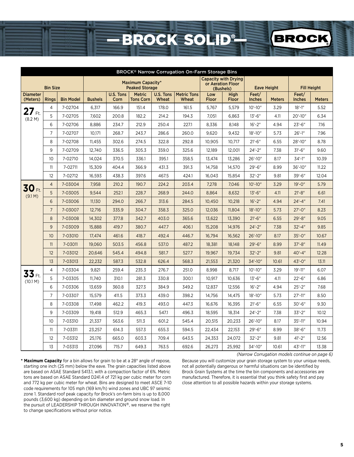### **BROCK SOLID® BROCI**

| <b>BROCK® Narrow Corrugation On-Farm Storage Bins</b> |                |                  |                |                          |                                            |                    |                             |              |                                                        |                 |               |                        |                    |
|-------------------------------------------------------|----------------|------------------|----------------|--------------------------|--------------------------------------------|--------------------|-----------------------------|--------------|--------------------------------------------------------|-----------------|---------------|------------------------|--------------------|
| <b>Bin Size</b>                                       |                |                  |                |                          | Maximum Capacity*<br><b>Peaked Storage</b> |                    |                             |              | Capacity with Drying<br>or Aeration Floor<br>(Bushels) |                 | Eave Height   |                        | <b>Fill Height</b> |
| <b>Diameter</b><br>(Meters)                           | <b>Rings</b>   | <b>Bin Model</b> | <b>Bushels</b> | <b>U.S. Tons</b><br>Corn | <b>Metric</b><br><b>Tons Corn</b>          | U.S. Tons<br>Wheat | <b>Metric Tons</b><br>Wheat | Low<br>Floor | High<br>Floor                                          | Feet/<br>Inches | <b>Meters</b> | Feet/<br><b>Inches</b> | <b>Meters</b>      |
|                                                       | $\overline{4}$ | 7-02704          | 6,317          | 166.9                    | 151.4                                      | 178.0              | 161.5                       | 5,767        | 5,579                                                  | $10' - 10''$    | 3.29          | $18' - 1''$            | 5.52               |
| $\mathbf{27}$ Ft.<br>(8.2 M)                          | 5              | 7-02705          | 7,602          | 200.8                    | 182.2                                      | 214.2              | 194.3                       | 7,051        | 6,863                                                  | $13' - 6''$     | 4.11          | 20'-10"                | 6.34               |
|                                                       | 6              | 7-02706          | 8.886          | 234.7                    | 212.9                                      | 250.4              | 227.1                       | 8,336        | 8.148                                                  | $16' - 2''$     | 4.94          | $23 - 6$ "             | 7.16               |
|                                                       | $\overline{7}$ | 7-02707          | 10,171         | 268.7                    | 243.7                                      | 286.6              | 260.0                       | 9,620        | 9,432                                                  | 18'-10"         | 5.73          | $26' - 1''$            | 7.96               |
|                                                       | 8              | 7-02708          | 11,455         | 302.6                    | 274.5                                      | 322.8              | 292.8                       | 10,905       | 10,717                                                 | $21 - 6$ "      | 6.55          | 28'-10"                | 8.78               |
|                                                       | 9              | 7-02709          | 12.740         | 336.5                    | 305.3                                      | 359.0              | 325.6                       | 12,189       | 12,001                                                 | $24 - 2"$       | 7.38          | $31' - 6''$            | 9.60               |
|                                                       | 10             | 7-02710          | 14.024         | 370.5                    | 336.1                                      | 395.1              | 358.5                       | 13.474       | 13,286                                                 | 26'-10"         | 8.17          | 34'-1"                 | 10.39              |
|                                                       | 11             | 7-02711          | 15,309         | 404.4                    | 366.9                                      | 431.3              | 391.3                       | 14,758       | 14,570                                                 | $29' - 6''$     | 8.99          | 36'-10"                | 11.22              |
|                                                       | 12             | 7-02712          | 16,593         | 438.3                    | 397.6                                      | 467.5              | 424.1                       | 16,043       | 15,854                                                 | $32 - 2"$       | 9.81          | $39' - 6''$            | 12.04              |
| 30 Ft.                                                | $\overline{4}$ | 7-03004          | 7,958          | 210.2                    | 190.7                                      | 224.2              | 203.4                       | 7,278        | 7,046                                                  | $10' - 10''$    | 3.29          | $19' - 0''$            | 5.79               |
| (9.1 M)                                               | 5              | 7-03005          | 9.544          | 252.1                    | 228.7                                      | 268.9              | 244.0                       | 8,864        | 8,632                                                  | $13'-6''$       | 4.11          | $21' - 8''$            | 6.61               |
|                                                       | 6              | 7-03006          | 11,130         | 294.0                    | 266.7                                      | 313.6              | 284.5                       | 10,450       | 10,218                                                 | $16' - 2''$     | 4.94          | $24' - 4''$            | 7.41               |
|                                                       | $\overline{7}$ | 7-03007          | 12,716         | 335.9                    | 304.7                                      | 358.3              | 325.0                       | 12,036       | 11,804                                                 | $18' - 10''$    | 5.73          | $27' - 0''$            | 8.23               |
|                                                       | 8              | 7-03008          | 14,302         | 377.8                    | 342.7                                      | 403.0              | 365.6                       | 13,622       | 13,390                                                 | $21' - 6''$     | 6.55          | $29' - 8''$            | 9.05               |
|                                                       | 9              | 7-03009          | 15,888         | 419.7                    | 380.7                                      | 447.7              | 406.1                       | 15,208       | 14,976                                                 | $24 - 2"$       | 7.38          | $32' - 4''$            | 9.85               |
|                                                       | 10             | 7-03010          | 17,474         | 461.6                    | 418.7                                      | 492.4              | 446.7                       | 16,794       | 16,562                                                 | 26'-10"         | 8.17          | $35' - 0''$            | 10.67              |
|                                                       | 11             | 7-03011          | 19,060         | 503.5                    | 456.8                                      | 537.0              | 487.2                       | 18,381       | 18,148                                                 | $29' - 6''$     | 8.99          | $37' - 8''$            | 11.49              |
|                                                       | 12             | 7-03012          | 20,646         | 545.4                    | 494.8                                      | 581.7              | 527.7                       | 19,967       | 19,734                                                 | $32 - 2$ "      | 9.81          | $40' - 4"$             | 12.28              |
|                                                       | 13             | 7-03013          | 22,232         | 587.3                    | 532.8                                      | 626.4              | 568.3                       | 21,553       | 21,320                                                 | 34'-10"         | 10.61         | $43' - 0''$            | 13.11              |
| 33 Ft.                                                | $\overline{4}$ | 7-03304          | 9,821          | 259.4                    | 235.3                                      | 276.7              | 251.0                       | 8,998        | 8,717                                                  | $10' - 10''$    | 3.29          | $19' - 11''$           | 6.07               |
| (10.1 M)                                              | 5              | 7-03305          | 11,740         | 310.1                    | 281.3                                      | 330.8              | 300.1                       | 10,917       | 10,636                                                 | $13' - 6''$     | 4.11          | $22 - 6$ "             | 6.86               |
|                                                       | 6              | 7-03306          | 13,659         | 360.8                    | 327.3                                      | 384.9              | 349.2                       | 12,837       | 12,556                                                 | $16' - 2''$     | 4.94          | $25 - 2"$              | 7.68               |
|                                                       | $\overline{7}$ | 7-03307          | 15.579         | 411.5                    | 373.3                                      | 439.0              | 398.2                       | 14.756       | 14,475                                                 | 18'-10"         | 5.73          | $27' - 11''$           | 8.50               |
|                                                       | 8              | 7-03308          | 17,498         | 462.2                    | 419.3                                      | 493.0              | 447.3                       | 16,676       | 16,395                                                 | $21 - 6$ "      | 6.55          | $30' - 6''$            | 9.30               |
|                                                       | 9              | 7-03309          | 19,418         | 512.9                    | 465.3                                      | 547.1              | 496.3                       | 18,595       | 18,314                                                 | $24 - 2"$       | 7.38          | $33'-2''$              | 10.12              |
|                                                       | 10             | 7-03310          | 21,337         | 563.6                    | 511.3                                      | 601.2              | 545.4                       | 20,515       | 20,233                                                 | 26'-10"         | 8.17          | 35'-11"                | 10.94              |
|                                                       | 11             | 7-03311          | 23,257         | 614.3                    | 557.3                                      | 655.3              | 594.5                       | 22,434       | 22,153                                                 | $29' - 6''$     | 8.99          | 38'-6"                 | 11.73              |
|                                                       | 12             | 7-03312          | 25,176         | 665.0                    | 603.3                                      | 709.4              | 643.5                       | 24,353       | 24,072                                                 | $32 - 2"$       | 9.81          | $41 - 2$ "             | 12.56              |
|                                                       | 13             | 7-03313          | 27.096         | 715.7                    | 649.3                                      | 763.5              | 692.6                       | 26,273       | 25,992                                                 | 34'-10"         | 10.61         | 43'-11"                | 13.38              |

**\* Maximum Capacity** for a bin allows for grain to be at a 28° angle of repose, starting one inch (25 mm) below the eave. The grain capacities listed above are based on ASAE Standard S413.1, with a compaction factor of 6%. Metric tons are based on ASAE Standard D241.4 of 721 kg per cubic meter for corn and 772 kg per cubic meter for wheat. Bins are designed to meet ASCE 7-10 code requirements for 105 mph (169 km/h) wind zones and UBC 97 seismic zone 1. Standard roof peak capacity for Brock's on-farm bins is up to 8,000 pounds (3,600 kg) depending on bin diameter and ground snow load. In the pursuit of LEADERSHIP THROUGH INNOVATION®, we reserve the right to change specifications without prior notice.

*(Narrow Corrugation models continue on page 6)*

Because you will customize your grain storage system to your unique needs, not all potentially dangerous or harmful situations can be identified by Brock Grain Systems at the time the bin components and accessories are manufactured. Therefore, it is essential that you think safety first and pay close attention to all possible hazards within your storage systems.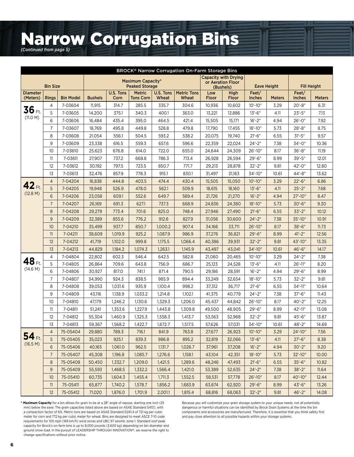## **Narrow Corrugation Bins**

|                             | <b>BROCK® Narrow Corrugation On-Farm Storage Bins</b> |                  |                |                   |                                   |                                                  |                             |              |               |                        |                    |                        |                    |
|-----------------------------|-------------------------------------------------------|------------------|----------------|-------------------|-----------------------------------|--------------------------------------------------|-----------------------------|--------------|---------------|------------------------|--------------------|------------------------|--------------------|
|                             |                                                       |                  |                | Maximum Capacity* |                                   | <b>Capacity with Drying</b><br>or Aeration Floor |                             |              |               |                        |                    |                        |                    |
|                             | <b>Bin Size</b>                                       |                  |                |                   | <b>Peaked Storage</b>             |                                                  |                             |              | (Bushels)     |                        | <b>Eave Height</b> |                        | <b>Fill Height</b> |
| <b>Diameter</b><br>(Meters) | <b>Rings</b>                                          | <b>Bin Model</b> | <b>Bushels</b> | U.S. Tons<br>Corn | <b>Metric</b><br><b>Tons Corn</b> | U.S. Tons<br>Wheat                               | <b>Metric Tons</b><br>Wheat | Low<br>Floor | High<br>Floor | Feet/<br><b>Inches</b> | <b>Meters</b>      | Feet/<br><b>Inches</b> | <b>Meters</b>      |
|                             | $\overline{4}$                                        | 7-03604          | 11,915         | 314.7             | 285.5                             | 335.7                                            | 304.6                       | 10,936       | 10,602        | $10' - 10''$           | 3.29               | $20' - 8''$            | 6.31               |
| 36 Ft.                      | 5                                                     | 7-03605          | 14,200         | 375.1             | 340.3                             | 400.1                                            | 363.0                       | 13,221       | 12,886        | $13' - 6''$            | 4.11               | $23'-5''$              | 7.13               |
| (11.0 M)                    | 6                                                     | 7-03606          | 16,484         | 435.4             | 395.0                             | 464.5                                            | 421.4                       | 15,505       | 15,171        | $16' - 2''$            | 4.94               | 26'-0"                 | 7.92               |
|                             | $\overline{7}$                                        | 7-03607          | 18.769         | 495.8             | 449.8                             | 528.8                                            | 479.8                       | 17,790       | 17,455        | 18'-10"                | 5.73               | $28' - 8''$            | 8.75               |
|                             | 8                                                     | 7-03608          | 21,054         | 556.1             | 504.5                             | 593.2                                            | 538.2                       | 20,075       | 19,740        | $21' - 6''$            | 6.55               | $31' - 5''$            | 9.57               |
|                             | 9                                                     | 7-03609          | 23,338         | 616.5             | 559.3                             | 657.6                                            | 596.6                       | 22,359       | 22,024        | $24 - 2"$              | 7.38               | 34'-0"                 | 10.36              |
|                             | 10 <sup>°</sup>                                       | 7-03610          | 25,623         | 676.8             | 614.0                             | 722.0                                            | 655.0                       | 24,644       | 24,309        | 26'-10"                | 8.17               | $36' - 8''$            | 11.19              |
|                             | 11                                                    | 7-03611          | 27,907         | 737.2             | 668.8                             | 786.3                                            | 713.4                       | 26,928       | 26,594        | $29' - 6''$            | 8.99               | $39' - 5''$            | 12.01              |
|                             | 12                                                    | 7-03612          | 30,192         | 797.5             | 723.5                             | 850.7                                            | 771.7                       | 29,213       | 28,878        | $32 - 2"$              | 9.81               | $42' - 0''$            | 12.80              |
|                             | 13                                                    | 7-03613          | 32,476         | 857.9             | 778.3                             | 915.1                                            | 830.1                       | 31,497       | 31,163        | 34'-10"                | 10.61              | 44'-8"                 | 13.62              |
|                             | $\overline{4}$                                        | 7-04204          | 16,838         | 444.8             | 403.5                             | 474.4                                            | 430.4                       | 15,505       | 15,050        | $10' - 10''$           | 3.29               | $22 - 6$ "             | 6.86               |
| $42$ Ft.                    | 5                                                     | 7-04205          | 19,948         | 526.9             | 478.0                             | 562.1                                            | 509.9                       | 18,615       | 18,160        | $13'-6''$              | 4.11               | $25'-2"$               | 7.68               |
| (12.8 M)                    | 6                                                     | 7-04206          | 23,058         | 609.1             | 552.6                             | 649.7                                            | 589.4                       | 21,726       | 21,270        | $16' - 2''$            | 4.94               | $27' - 10''$           | 8.47               |
|                             | $\overline{7}$                                        | 7-04207          | 26,169         | 691.3             | 627.1                             | 737.3                                            | 668.9                       | 24,836       | 24,380        | $18' - 10''$           | 5.73               | $30' - 6''$            | 9.30               |
|                             | 8                                                     | 7-04208          | 29,279         | 773.4             | 701.6                             | 825.0                                            | 748.4                       | 27,946       | 27,490        | $21' - 6''$            | 6.55               | $33'-2''$              | 10.12              |
|                             | 9                                                     | 7-04209          | 32,389         | 855.6             | 776.2                             | 912.6                                            | 827.9                       | 31,056       | 30,600        | $24'-2''$              | 7.38               | 35'-10"                | 10.91              |
|                             | 10                                                    | 7-04210          | 35,499         | 937.7             | 850.7                             | 1,000.2                                          | 907.4                       | 34,166       | 33,711        | 26'-10"                | 8.17               | $38' - 6''$            | 11.73              |
|                             | 11                                                    | 7-04211          | 38,609         | 1,019.9           | 925.2                             | 1,087.9                                          | 986.9                       | 37,276       | 36,821        | $29' - 6''$            | 8.99               | $41' - 2''$            | 12.56              |
|                             | 12                                                    | 7-04212          | 41,719         | 1,102.0           | 999.8                             | 1,175.5                                          | 1,066.4                     | 40,386       | 39,931        | $32 - 2$ "             | 9.81               | 43'-10"                | 13.35              |
|                             | 13                                                    | 7-04213          | 44,829         | 1,184.2           | 1,074.3                           | 1,263.1                                          | 1,145.9                     | 43,497       | 43,041        | 34'-10"                | 10.61              | $46' - 6''$            | 14.17              |
|                             | $\overline{4}$                                        | 7-04804          | 22,802         | 602.3             | 546.4                             | 642.5                                            | 582.8                       | 21,060       | 20,465        | $10' - 10''$           | 3.29               | $24 - 2"$              | 7.38               |
| 48 Ft.                      | 5                                                     | 7-04805          | 26,864         | 709.6             | 643.8                             | 756.9                                            | 686.7                       | 25,123       | 24,528        | $13' - 6''$            | 4.11               | 26'-11"                | 8.20               |
| (14.6 M)                    | 6                                                     | 7-04806          | 30,927         | 817.0             | 741.1                             | 871.4                                            | 790.5                       | 29,186       | 28,591        | $16' - 2''$            | 4.94               | $29' - 6''$            | 8.99               |
|                             | $\overline{7}$                                        | 7-04807          | 34,990         | 924.3             | 838.5                             | 985.9                                            | 894.4                       | 33,249       | 32,654        | 18'-10"                | 5.73               | $32 - 2"$              | 9.81               |
|                             | 8                                                     | 7-04808          | 39,053         | 1,031.6           | 935.9                             | 1,100.4                                          | 998.2                       | 37,312       | 36,717        | $21' - 6''$            | 6.55               | 34'-11"                | 10.64              |
|                             | 9                                                     | 7-04809          | 43,116         | 1,138.9           | 1,033.2                           | 1,214.8                                          | 1,102.1                     | 41,375       | 40,779        | $24 - 2"$              | 7.38               | $37' - 6''$            | 11.43              |
|                             | 10                                                    | 7-04810          | 47,179         | 1,246.2           | 1,130.6                           | 1,329.3                                          | 1,206.0                     | 45,437       | 44,842        | 26'-10"                | 8.17               | $40' - 2"$             | 12.25              |
|                             | 11                                                    | 7-04811          | 51,241         | 1,353.6           | 1,227.9                           | 1,443.8                                          | 1,309.8                     | 49,500       | 48,905        | $29' - 6''$            | 8.99               | 42'-11"                | 13.08              |
|                             | 12                                                    | 7-04812          | 55,304         | 1,460.9           | 1,325.3                           | 1,558.3                                          | 1,413.7                     | 53,563       | 52,968        | $32 - 2"$              | 9.81               | 45'-6"                 | 13.87              |
|                             | 13                                                    | 7-04813          | 59,367         | 1,568.2           | 1,422.7                           | 1,672.7                                          | 1,517.5                     | 57,626       | 57,031        | 34'-10"                | 10.61              | $48 - 2$ "             | 14.69              |
|                             | $\overline{4}$                                        | 75-05404         | 29,880         | 789.3             | 716.1                             | 841.9                                            | 763.8                       | 27,677       | 26,923        | $10' - 10''$           | 3.29               | 24'-10"                | 7.56               |
| $54$ Ft.                    | 5                                                     | 75-05405         | 35,023         | 925.1             | 839.3                             | 986.8                                            | 895.2                       | 32,819       | 32,066        | $13'-6''$              | 4.11               | $27' - 6''$            | 8.38               |
| (16.5 M)                    | 6                                                     | 75-05406         | 40,165         | 1,061.0           | 962.5                             | 1,131.7                                          | 1,026.7                     | 37,961       | 37,208        | $16' - 2''$            | 4.94               | $30' - 2''$            | 9.20               |
|                             | $\overline{7}$                                        | 75-05407         | 45,308         | 1,196.8           | 1,085.7                           | 1,276.6                                          | 1,158.1                     | 43,104       | 42,351        | 18'-10"                | 5.73               | 32'-10"                | 10.00              |
|                             | 8                                                     | 75-05408         | 50,450         | 1,332.7           | 1,209.0                           | 1,421.5                                          | 1,289.6                     | 48,246       | 47,493        | $21' - 6''$            | 6.55               | $35' - 6''$            | 10.82              |
|                             | 9                                                     | 75-05409         | 55,593         | 1,468.5           | 1,332.2                           | 1,566.4                                          | 1,421.0                     | 53,389       | 52,635        | $24 - 2"$              | 7.38               | $38 - 2$ "             | 11.64              |
|                             | 10                                                    | 75-05410         | 60,735         | 1,604.3           | 1,455.4                           | 1,711.3                                          | 1,552.5                     | 58,531       | 57,778        | 26'-10"                | 8.17               | 40'-10"                | 12.44              |
|                             | 11                                                    | 75-05411         | 65,877         | 1,740.2           | 1,578.7                           | 1,856.2                                          | 1,683.9                     | 63,674       | 62,920        | $29' - 6''$            | 8.99               | $43' - 6''$            | 13.26              |
|                             | 12                                                    | 75-05412         | 71,020         | 1,876.0           | 1,701.9                           | 2,001.1                                          | 1,815.4                     | 68,816       | 68,063        | $32 - 2$ "             | 9.81               | $46' - 2''$            | 14.08              |

**\* Maximum Capacity** for a bin allows for grain to be at a 28° angle of repose, starting one inch (25 mm) below the eave. The grain capacities listed above are based on ASAE Standard S413.1, with a compaction factor of 6%. Metric tons are based on ASAE Standard D241.4 of 721 kg per cubic meter for corn and 772 kg per cubic meter for wheat. Bins are designed to meet ASCE 7-10 code requirements for 105 mph (169 km/h) wind zones and UBC 97 seismic zone 1. Standard roof peak capacity for Brock's on-farm bins is up to 8,000 pounds (3,600 kg) depending on bin diameter and ground snow load. In the pursuit of LEADERSHIP THROUGH INNOVATION®, we reserve the right to change specifications without prior notice.

Because you will customize your grain storage system to your unique needs, not all potentially dangerous or harmful situations can be identified by Brock Grain Systems at the time the bin components and accessories are manufactured. Therefore, it is essential that you think safety first and pay close attention to all possible hazards within your storage systems.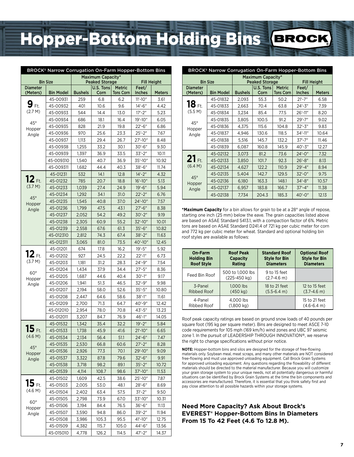Hopper-Bottom Holding Bins

|                        |                  |                |                                            | <b>BROCK<sup>®</sup> Narrow Corrugation On-Farm Hopper-Bottom Bins</b> |               |                    |
|------------------------|------------------|----------------|--------------------------------------------|------------------------------------------------------------------------|---------------|--------------------|
|                        | <b>Bin Size</b>  |                | Maximum Capacity*<br><b>Peaked Storage</b> |                                                                        |               | <b>Fill Height</b> |
| <b>Diameter</b>        |                  |                | U.S. Tons                                  | <b>Metric</b>                                                          | Feet/         |                    |
| (Meters)               | <b>Bin Model</b> | <b>Bushels</b> | Corn                                       | <b>Tons Corn</b>                                                       | <b>Inches</b> | <b>Meters</b>      |
|                        | 45-00931         | 259            | 6.8                                        | 6.2                                                                    | $11' - 10''$  | 3.61               |
| ' Ft.                  | 45-00932         | 401            | 10.6                                       | 9.6                                                                    | 14'-6"        | 4.42               |
| (2.7 M)                | 45-00933         | 544            | 14.4                                       | 13.0                                                                   | $17 - 2"$     | 5.23               |
| $45^{\circ}$           | 45-00934         | 686            | 18.1                                       | 16.4                                                                   | 19'-10"       | 6.05               |
| Hopper                 | 45-00935         | 828            | 21.9                                       | 19.8                                                                   | $22 - 6$ "    | 6.86               |
| Angle                  | 45-00936         | 970            | 25.6                                       | 23.3                                                                   | $25 - 2"$     | 7.67               |
|                        | 45-00937         | 1,113          | 29.4                                       | 26.7                                                                   | 27'-10"       | 8.48               |
|                        | 45-00938         | 1,255          | 33.2                                       | 30.1                                                                   | 30'-6"        | 9.30               |
|                        | 45-00939         | 1,397          | 36.9                                       | 33.5                                                                   | $33'-2''$     | 10.11              |
|                        | 45-009310        | 1,540          | 40.7                                       | 36.9                                                                   | 35'-10"       | 10.92              |
|                        | 45-009311        | 1,682          | 44.4                                       | 40.3                                                                   | 38'-6"        | 11.74              |
|                        | 45-01231         | 532            | 14.1                                       | 12.8                                                                   | $14'-2''$     | 4.32               |
| $12$ Ft.               | 45-01232         | 785            | 20.7                                       | 18.8                                                                   | $16' - 10''$  | 5.13               |
| (3.7 M)                | 45-01233         | 1,039          | 27.4                                       | 24.9                                                                   | $19' - 6''$   | 5.94               |
| $45^\circ$             | 45-01234         | 1,292          | 34.1                                       | 31.0                                                                   | $22 - 2"$     | 6.76               |
| Hopper                 | 45-01235         | 1,545          | 40.8                                       | 37.0                                                                   | 24'-10"       | 7.57               |
| Angle                  | 45-01236         | 1,799          | 47.5                                       | 43.1                                                                   | $27' - 6''$   | 8.38               |
|                        | 45-01237         | 2,052          | 54.2                                       | 49.2                                                                   | $30'-2"$      | 9.19               |
|                        | 45-01238         | 2,305          | 60.9                                       | 55.2                                                                   | 32'-10"       | 10.01              |
|                        | 45-01239         | 2,558          | 67.6                                       | 61.3                                                                   | $35' - 6''$   | 10.82              |
|                        | 45-012310        | 2,812          | 74.3                                       | 67.4                                                                   | $38 - 2"$     | 11.63              |
|                        | 45-012311        | 3,065          | 81.0                                       | 73.5                                                                   | 40′-10″       | 12.45              |
|                        | 45-01201         | 674            | 17.8                                       | 16.2                                                                   | $19' - 5''$   | 5.92               |
| $12$ Ft.               | 45-01202         | 927            | 24.5                                       | 22.2                                                                   | $22'-1''$     | 6.73               |
| (3.7 M)                | 45-01203         | 1,181          | 31.2                                       | 28.3                                                                   | 24'-9"        | 7.54               |
|                        | 45-01204         | 1,434          | 37.9                                       | 34.4                                                                   | $27 - 5"$     | 8.36               |
| $60^{\circ}$<br>Hopper | 45-01205         | 1,687          | 44.6                                       | 40.4                                                                   | $30' - 1''$   | 9.17               |
| Angle                  | 45-01206         | 1,941          | 51.3                                       | 46.5                                                                   | $32 - 9$ "    | 9.98               |
|                        | 45-01207         | 2,194          | 58.0                                       | 52.6                                                                   | 35′-5″        | 10.80              |
|                        | 45-01208         | 2,447          | 64.6                                       | 58.6                                                                   | 38'-1"        | 11.61              |
|                        | 45-01209         | 2,700          | 71.3                                       | 64.7                                                                   | 40'-9"        | 12.42              |
|                        | 45-012010        | 2,954          | 78.0                                       | 70.8                                                                   | $43 - 5$ "    | 13.23              |
|                        | 45-012011        | 3,207          | 84.7                                       | 76.9                                                                   | 46'-1"        | 14.05              |
| 1 E                    | 45-01532         | 1,342          | 35.4                                       | 32.2                                                                   | $19' - 2''$   | 5.84               |
| <b>IJ</b> Ft.          | 45-01533         | 1,738          | 45.9                                       | 41.6                                                                   | $21' - 10''$  | 6.65               |
| (4.6 M)                | 45-01534         | 2,134          | 56.4                                       | 51.1                                                                   | $24 - 6$ "    | 7.47               |
| $45^\circ$             | 45-01535         | 2,530          | 66.8                                       | 60.6                                                                   | $27 - 2$ "    | 8.28               |
| Hopper                 | 45-01536         | 2,926          | 77.3                                       | 70.1                                                                   | 29′-10″       | 9.09               |
| Angle                  | 45-01537         | 3,322          | 87.8                                       | 79.6                                                                   | $32 - 6$ "    | 9.91               |
|                        | 45-01538         | 3,718          | 98.2                                       | 89.1                                                                   | $35' - 2''$   | 10.72              |
|                        | 45-01539         | 4,114          | 108.7                                      | 98.6                                                                   | 37'-10"       | 11.53              |
|                        | 45-01502         | 1,609          | 42.5                                       | 38.6                                                                   | 25'-10"       | 7.87               |
| 15 ft.                 | 45-01503         | 2,005          | 53.0                                       | 48.1                                                                   | 28′-6″        | 8.69               |
| (4.6 M)                | 45-01504         | 2,402          | 63.4                                       | 57.5                                                                   | $31 - 2"$     | 9.50               |
|                        | 45-01505         | 2,798          | 73.9                                       | 67.0                                                                   | 33'-10"       | 10.31              |
| $60^\circ$<br>Hopper   | 45-01506         | 3,194          | 84.4                                       | 76.5                                                                   | $36' - 6''$   | 11.13              |
| Angle                  | 45-01507         | 3,590          | 94.8                                       | 86.0                                                                   | 39′-2″        | 11.94              |
|                        | 45-01508         | 3,986          | 105.3                                      | 95.5                                                                   | 41'-10"       | 12.75              |
|                        | 45-01509         | 4,382          | 115.7                                      | 105.0                                                                  | 44'-6"        | 13.56              |
|                        | 45-015010        | 4,778          | 126.2                                      | 114.5                                                                  | 47'-2"        | 14.37              |

|                             | <b>BROCK<sup>®</sup> Narrow Corrugation On-Farm Hopper-Bottom Bins</b> |       |                                            |                                   |                    |               |  |  |  |
|-----------------------------|------------------------------------------------------------------------|-------|--------------------------------------------|-----------------------------------|--------------------|---------------|--|--|--|
|                             | <b>Bin Size</b>                                                        |       | Maximum Capacity*<br><b>Peaked Storage</b> |                                   | <b>Fill Height</b> |               |  |  |  |
| <b>Diameter</b><br>(Meters) | <b>Bin Model</b>                                                       |       | U.S. Tons<br>Corn                          | <b>Metric</b><br><b>Tons Corn</b> | Feet/<br>Inches    | <b>Meters</b> |  |  |  |
|                             | 45-01832                                                               | 2,093 | 55.3                                       | 50.2                              | $21' - 7''$        | 6.58          |  |  |  |
| 18 Ft.                      | 45-01833                                                               | 2,663 | 70.4                                       | 63.8                              | $24 - 3"$          | 7.39          |  |  |  |
| (5.5 M)                     | 45-01834                                                               | 3,234 | 85.4                                       | 77.5                              | 26'-11"            | 8.20          |  |  |  |
| $45^\circ$                  | 45-01835                                                               | 3,805 | 100.5                                      | 91.2                              | $29' - 7''$        | 9.02          |  |  |  |
| Hopper                      | 45-01836                                                               | 4,375 | 115.6                                      | 104.8                             | $32 - 3"$          | 9.83          |  |  |  |
| Angle                       | 45-01837                                                               | 4,946 | 130.6                                      | 118.5                             | 34'-11"            | 10.64         |  |  |  |
|                             | 45-01838                                                               | 5,516 | 145.7                                      | 132.2                             | $37' - 7''$        | 11.46         |  |  |  |
|                             | 45-01839                                                               | 6,087 | 160.8                                      | 145.9                             | $40' - 3"$         | 12.27         |  |  |  |
|                             | 45-02132                                                               | 3,073 | 81.2                                       | 73.6                              | $24' - 0''$        | 7.32          |  |  |  |
| $21$ Ft.                    | 45-02133                                                               | 3,850 | 101.7                                      | 92.3                              | $26' - 8''$        | 8.13          |  |  |  |
| (6.4 M)                     | 45-02134                                                               | 4,627 | 122.2                                      | 110.9                             | $29' - 4''$        | 8.94          |  |  |  |
| $45^\circ$                  | 45-02135                                                               | 5,404 | 142.7                                      | 129.5                             | $32' - 0''$        | 9.75          |  |  |  |
| Hopper                      | 45-02136                                                               | 6,180 | 163.3                                      | 148.1                             | 34'-8"             | 10.57         |  |  |  |
| Angle                       | 45-02137                                                               | 6,957 | 183.8                                      | 166.7                             | $37' - 4''$        | 11.38         |  |  |  |
|                             | 45-02138                                                               | 7,734 | 204.3                                      | 185.3                             | $40' - 0''$        | 12.13         |  |  |  |

**\*Maximum Capacity** for a bin allows for grain to be at a 28° angle of repose, starting one inch (25 mm) below the eave. The grain capacities listed above are based on ASAE Standard S413.1, with a compaction factor of 6%. Metric tons are based on ASAE Standard D241.4 of 721 kg per cubic meter for corn and 772 kg per cubic meter for wheat. Standard and optional holding bin roof styles are available as follows:

| <b>On-Farm</b>     | <b>Roof Peak</b>                 | <b>Standard Roof</b>             | <b>Optional Roof</b> |
|--------------------|----------------------------------|----------------------------------|----------------------|
| <b>Holding Bin</b> | <b>Capacity</b>                  | <b>Style for Bin</b>             | <b>Style for Bin</b> |
| <b>Roof Style</b>  | Rating                           | <b>Diameters</b>                 | <b>Diameters</b>     |
| Feed Bin Roof      | 500 to 1,000 lbs<br>(225-450 kg) | 9 to 15 feet<br>$(2.7 - 4.6)$ m) |                      |
| 3-Panel            | 1.000 lbs                        | 18 to 21 feet                    | 12 to 15 feet        |
| <b>Ribbed Roof</b> | $(450 \text{ kg})$               | $(5.5 - 6.4 m)$                  | $(3.7 - 4.6)$ m)     |
| 4-Panel            | 4.000 lbs                        |                                  | 15 to 21 feet        |
| Ribbed Roof        | $(1,800 \text{ kg})$             |                                  | $(4.6 - 6.4 m)$      |

Roof peak capacity ratings are based on ground snow loads of 40 pounds per square foot (195 kg per square meter). Bins are designed to meet ASCE 7-10 code requirements for 105 mph (169 km/h) wind zones and UBC 97 seismic zone 1. In the pursuit of LEADERSHIP THROUGH INNOVATION®, we reserve the right to change specifications without prior notice.

**NOTE:** Hopper-bottom bins and silos are designed for the storage of free-flowing materials only. Soybean meal, meat scraps, and many other materials are NOT considered free-flowing and must use approved unloading equipment. Call Brock Grain Systems for approved unloading equipment. Any questions regarding the flowability of different materials should be directed to the material manufacturer. Because you will customize your grain storage system to your unique needs, not all potentially dangerous or harmful situations can be identified by Brock Grain Systems at the time the bin components and accessories are manufactured. Therefore, it is essential that you think safety first and pay close attention to all possible hazards within your storage systems.

### **Need More Capacity? Ask About Brock's EVEREST® Hopper-Bottom Bins In Diameters From 15 To 42 Feet (4.6 To 12.8 M).**